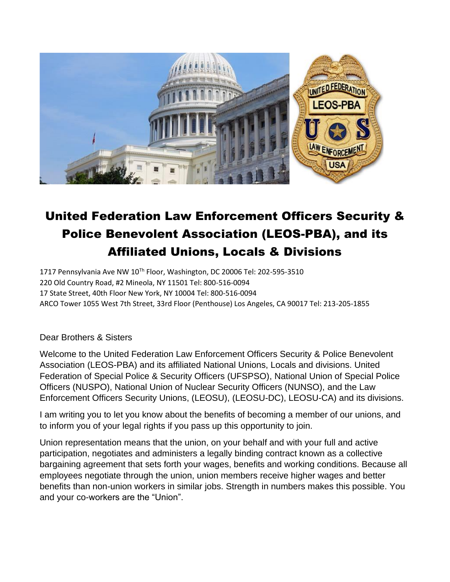

# United Federation Law Enforcement Officers Security & Police Benevolent Association (LEOS-PBA), and its Affiliated Unions, Locals & Divisions

1717 Pennsylvania Ave NW 10<sup>Th</sup> Floor, Washington, DC 20006 Tel: 202-595-3510 220 Old Country Road, #2 Mineola, NY 11501 Tel: 800-516-0094 17 State Street, 40th Floor New York, NY 10004 Tel: 800-516-0094 ARCO Tower 1055 West 7th Street, 33rd Floor (Penthouse) Los Angeles, CA 90017 Tel: 213-205-1855

### Dear Brothers & Sisters

Welcome to the United Federation Law Enforcement Officers Security & Police Benevolent Association (LEOS-PBA) and its affiliated National Unions, Locals and divisions. United Federation of Special Police & Security Officers (UFSPSO), National Union of Special Police Officers (NUSPO), National Union of Nuclear Security Officers (NUNSO), and the Law Enforcement Officers Security Unions, (LEOSU), (LEOSU-DC), LEOSU-CA) and its divisions.

I am writing you to let you know about the benefits of becoming a member of our unions, and to inform you of your legal rights if you pass up this opportunity to join.

Union representation means that the union, on your behalf and with your full and active participation, negotiates and administers a legally binding contract known as a collective bargaining agreement that sets forth your wages, benefits and working conditions. Because all employees negotiate through the union, union members receive higher wages and better benefits than non-union workers in similar jobs. Strength in numbers makes this possible. You and your co-workers are the "Union".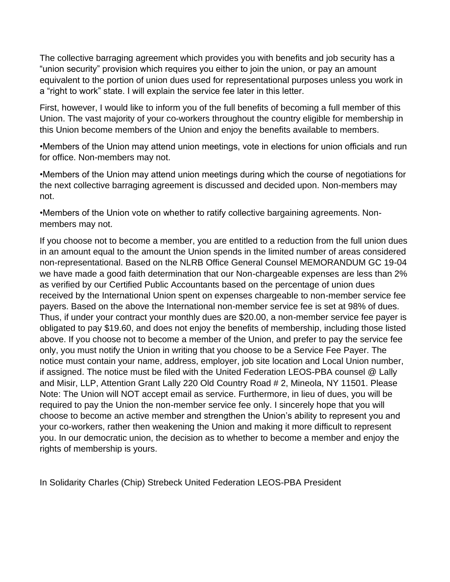The collective barraging agreement which provides you with benefits and job security has a "union security" provision which requires you either to join the union, or pay an amount equivalent to the portion of union dues used for representational purposes unless you work in a "right to work" state. I will explain the service fee later in this letter.

First, however, I would like to inform you of the full benefits of becoming a full member of this Union. The vast majority of your co-workers throughout the country eligible for membership in this Union become members of the Union and enjoy the benefits available to members.

•Members of the Union may attend union meetings, vote in elections for union officials and run for office. Non-members may not.

•Members of the Union may attend union meetings during which the course of negotiations for the next collective barraging agreement is discussed and decided upon. Non-members may not.

•Members of the Union vote on whether to ratify collective bargaining agreements. Nonmembers may not.

If you choose not to become a member, you are entitled to a reduction from the full union dues in an amount equal to the amount the Union spends in the limited number of areas considered non-representational. Based on the NLRB Office General Counsel MEMORANDUM GC 19-04 we have made a good faith determination that our Non-chargeable expenses are less than 2% as verified by our Certified Public Accountants based on the percentage of union dues received by the International Union spent on expenses chargeable to non-member service fee payers. Based on the above the International non-member service fee is set at 98% of dues. Thus, if under your contract your monthly dues are \$20.00, a non-member service fee payer is obligated to pay \$19.60, and does not enjoy the benefits of membership, including those listed above. If you choose not to become a member of the Union, and prefer to pay the service fee only, you must notify the Union in writing that you choose to be a Service Fee Payer. The notice must contain your name, address, employer, job site location and Local Union number, if assigned. The notice must be filed with the United Federation LEOS-PBA counsel @ Lally and Misir, LLP, Attention Grant Lally 220 Old Country Road # 2, Mineola, NY 11501. Please Note: The Union will NOT accept email as service. Furthermore, in lieu of dues, you will be required to pay the Union the non-member service fee only. I sincerely hope that you will choose to become an active member and strengthen the Union's ability to represent you and your co-workers, rather then weakening the Union and making it more difficult to represent you. In our democratic union, the decision as to whether to become a member and enjoy the rights of membership is yours.

In Solidarity Charles (Chip) Strebeck United Federation LEOS-PBA President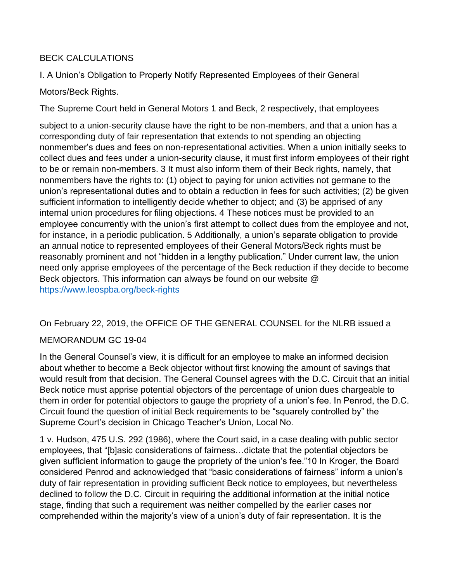# BECK CALCULATIONS

I. A Union's Obligation to Properly Notify Represented Employees of their General

# Motors/Beck Rights.

The Supreme Court held in General Motors 1 and Beck, 2 respectively, that employees

subject to a union-security clause have the right to be non-members, and that a union has a corresponding duty of fair representation that extends to not spending an objecting nonmember's dues and fees on non-representational activities. When a union initially seeks to collect dues and fees under a union-security clause, it must first inform employees of their right to be or remain non-members. 3 It must also inform them of their Beck rights, namely, that nonmembers have the rights to: (1) object to paying for union activities not germane to the union's representational duties and to obtain a reduction in fees for such activities; (2) be given sufficient information to intelligently decide whether to object; and (3) be apprised of any internal union procedures for filing objections. 4 These notices must be provided to an employee concurrently with the union's first attempt to collect dues from the employee and not, for instance, in a periodic publication. 5 Additionally, a union's separate obligation to provide an annual notice to represented employees of their General Motors/Beck rights must be reasonably prominent and not "hidden in a lengthy publication." Under current law, the union need only apprise employees of the percentage of the Beck reduction if they decide to become Beck objectors. This information can always be found on our website @ <https://www.leospba.org/beck-rights>

On February 22, 2019, the OFFICE OF THE GENERAL COUNSEL for the NLRB issued a

### MEMORANDUM GC 19-04

In the General Counsel's view, it is difficult for an employee to make an informed decision about whether to become a Beck objector without first knowing the amount of savings that would result from that decision. The General Counsel agrees with the D.C. Circuit that an initial Beck notice must apprise potential objectors of the percentage of union dues chargeable to them in order for potential objectors to gauge the propriety of a union's fee. In Penrod, the D.C. Circuit found the question of initial Beck requirements to be "squarely controlled by" the Supreme Court's decision in Chicago Teacher's Union, Local No.

1 v. Hudson, 475 U.S. 292 (1986), where the Court said, in a case dealing with public sector employees, that "[b]asic considerations of fairness…dictate that the potential objectors be given sufficient information to gauge the propriety of the union's fee."10 In Kroger, the Board considered Penrod and acknowledged that "basic considerations of fairness" inform a union's duty of fair representation in providing sufficient Beck notice to employees, but nevertheless declined to follow the D.C. Circuit in requiring the additional information at the initial notice stage, finding that such a requirement was neither compelled by the earlier cases nor comprehended within the majority's view of a union's duty of fair representation. It is the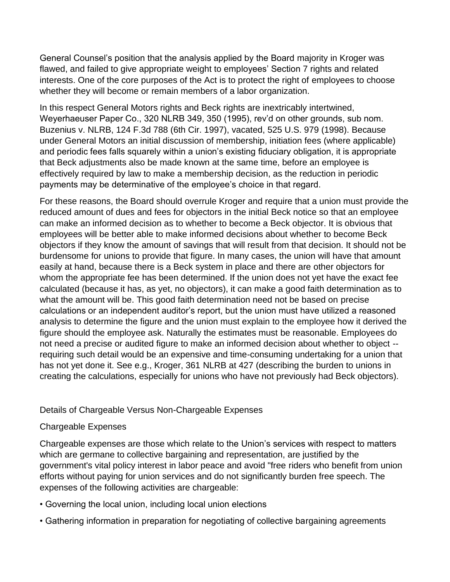General Counsel's position that the analysis applied by the Board majority in Kroger was flawed, and failed to give appropriate weight to employees' Section 7 rights and related interests. One of the core purposes of the Act is to protect the right of employees to choose whether they will become or remain members of a labor organization.

In this respect General Motors rights and Beck rights are inextricably intertwined, Weyerhaeuser Paper Co., 320 NLRB 349, 350 (1995), rev'd on other grounds, sub nom. Buzenius v. NLRB, 124 F.3d 788 (6th Cir. 1997), vacated, 525 U.S. 979 (1998). Because under General Motors an initial discussion of membership, initiation fees (where applicable) and periodic fees falls squarely within a union's existing fiduciary obligation, it is appropriate that Beck adjustments also be made known at the same time, before an employee is effectively required by law to make a membership decision, as the reduction in periodic payments may be determinative of the employee's choice in that regard.

For these reasons, the Board should overrule Kroger and require that a union must provide the reduced amount of dues and fees for objectors in the initial Beck notice so that an employee can make an informed decision as to whether to become a Beck objector. It is obvious that employees will be better able to make informed decisions about whether to become Beck objectors if they know the amount of savings that will result from that decision. It should not be burdensome for unions to provide that figure. In many cases, the union will have that amount easily at hand, because there is a Beck system in place and there are other objectors for whom the appropriate fee has been determined. If the union does not yet have the exact fee calculated (because it has, as yet, no objectors), it can make a good faith determination as to what the amount will be. This good faith determination need not be based on precise calculations or an independent auditor's report, but the union must have utilized a reasoned analysis to determine the figure and the union must explain to the employee how it derived the figure should the employee ask. Naturally the estimates must be reasonable. Employees do not need a precise or audited figure to make an informed decision about whether to object - requiring such detail would be an expensive and time-consuming undertaking for a union that has not yet done it. See e.g., Kroger, 361 NLRB at 427 (describing the burden to unions in creating the calculations, especially for unions who have not previously had Beck objectors).

### Details of Chargeable Versus Non-Chargeable Expenses

#### Chargeable Expenses

Chargeable expenses are those which relate to the Union's services with respect to matters which are germane to collective bargaining and representation, are justified by the government's vital policy interest in labor peace and avoid "free riders who benefit from union efforts without paying for union services and do not significantly burden free speech. The expenses of the following activities are chargeable:

- Governing the local union, including local union elections
- Gathering information in preparation for negotiating of collective bargaining agreements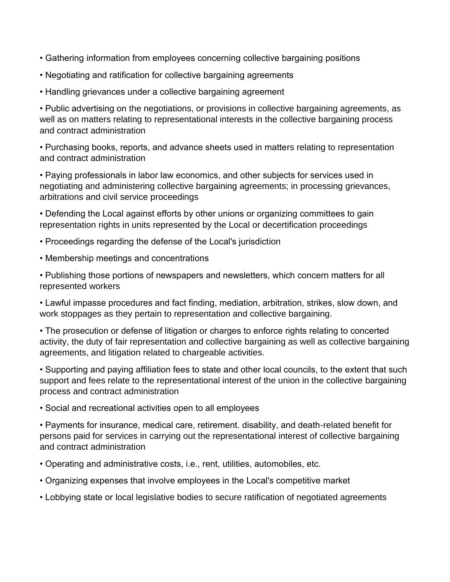- Gathering information from employees concerning collective bargaining positions
- Negotiating and ratification for collective bargaining agreements
- Handling grievances under a collective bargaining agreement

• Public advertising on the negotiations, or provisions in collective bargaining agreements, as well as on matters relating to representational interests in the collective bargaining process and contract administration

• Purchasing books, reports, and advance sheets used in matters relating to representation and contract administration

• Paying professionals in labor law economics, and other subjects for services used in negotiating and administering collective bargaining agreements; in processing grievances, arbitrations and civil service proceedings

• Defending the Local against efforts by other unions or organizing committees to gain representation rights in units represented by the Local or decertification proceedings

- Proceedings regarding the defense of the Local's jurisdiction
- Membership meetings and concentrations

• Publishing those portions of newspapers and newsletters, which concern matters for all represented workers

• Lawful impasse procedures and fact finding, mediation, arbitration, strikes, slow down, and work stoppages as they pertain to representation and collective bargaining.

• The prosecution or defense of litigation or charges to enforce rights relating to concerted activity, the duty of fair representation and collective bargaining as well as collective bargaining agreements, and litigation related to chargeable activities.

• Supporting and paying affiliation fees to state and other local councils, to the extent that such support and fees relate to the representational interest of the union in the collective bargaining process and contract administration

• Social and recreational activities open to all employees

• Payments for insurance, medical care, retirement. disability, and death-related benefit for persons paid for services in carrying out the representational interest of collective bargaining and contract administration

- Operating and administrative costs, i.e., rent, utilities, automobiles, etc.
- Organizing expenses that involve employees in the Local's competitive market
- Lobbying state or local legislative bodies to secure ratification of negotiated agreements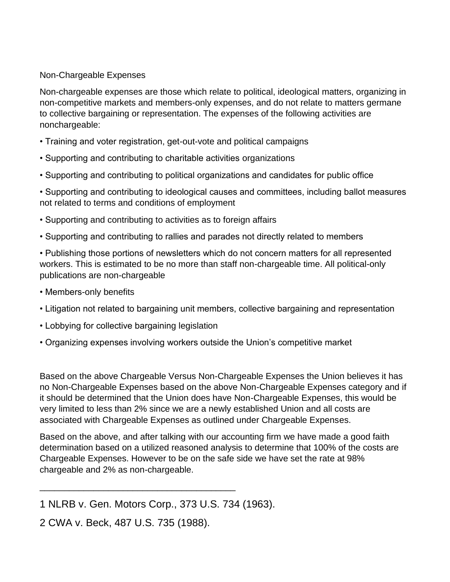#### Non-Chargeable Expenses

Non-chargeable expenses are those which relate to political, ideological matters, organizing in non-competitive markets and members-only expenses, and do not relate to matters germane to collective bargaining or representation. The expenses of the following activities are nonchargeable:

- Training and voter registration, get-out-vote and political campaigns
- Supporting and contributing to charitable activities organizations
- Supporting and contributing to political organizations and candidates for public office

• Supporting and contributing to ideological causes and committees, including ballot measures not related to terms and conditions of employment

- Supporting and contributing to activities as to foreign affairs
- Supporting and contributing to rallies and parades not directly related to members

• Publishing those portions of newsletters which do not concern matters for all represented workers. This is estimated to be no more than staff non-chargeable time. All political-only publications are non-chargeable

- Members-only benefits
- Litigation not related to bargaining unit members, collective bargaining and representation
- Lobbying for collective bargaining legislation
- Organizing expenses involving workers outside the Union's competitive market

Based on the above Chargeable Versus Non-Chargeable Expenses the Union believes it has no Non-Chargeable Expenses based on the above Non-Chargeable Expenses category and if it should be determined that the Union does have Non-Chargeable Expenses, this would be very limited to less than 2% since we are a newly established Union and all costs are associated with Chargeable Expenses as outlined under Chargeable Expenses.

Based on the above, and after talking with our accounting firm we have made a good faith determination based on a utilized reasoned analysis to determine that 100% of the costs are Chargeable Expenses. However to be on the safe side we have set the rate at 98% chargeable and 2% as non-chargeable.

2 CWA v. Beck, 487 U.S. 735 (1988).

\_\_\_\_\_\_\_\_\_\_\_\_\_\_\_\_\_\_\_\_\_\_\_\_\_\_\_\_\_\_\_\_\_\_\_\_\_\_\_\_

<sup>1</sup> NLRB v. Gen. Motors Corp., 373 U.S. 734 (1963).